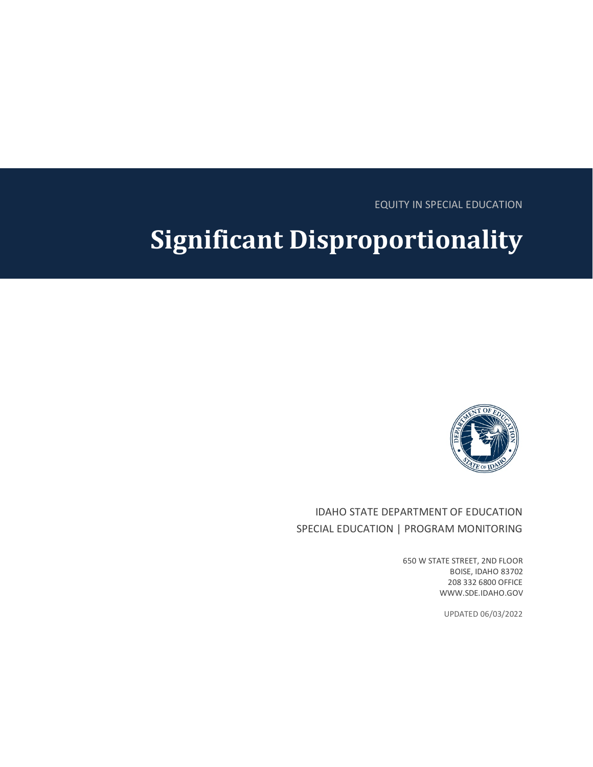EQUITY IN SPECIAL EDUCATION

# **Significant Disproportionality**



## IDAHO STATE DEPARTMENT OF EDUCATION SPECIAL EDUCATION | PROGRAM MONITORING

650 W STATE STREET, 2ND FLOOR BOISE, IDAHO 83702 208 332 6800 OFFICE WWW.SDE.IDAHO.GOV

UPDATED 06/03/2022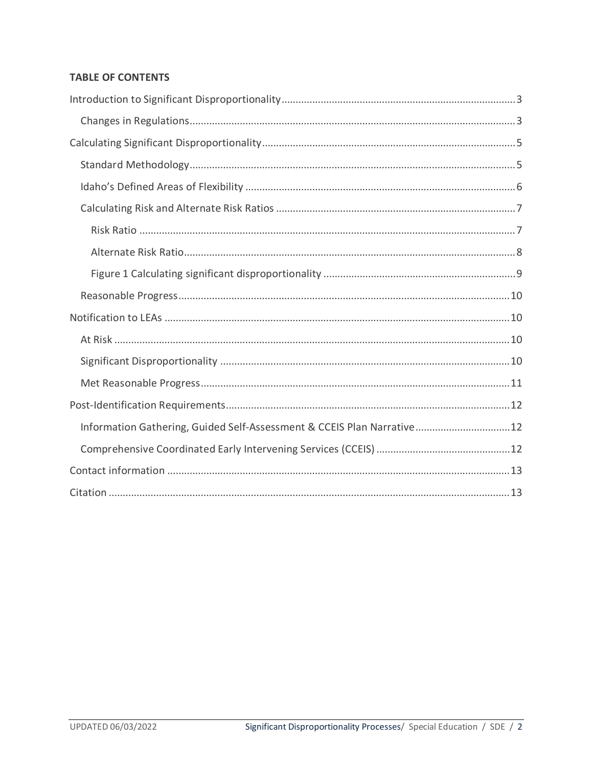## **TABLE OF CONTENTS**

| Information Gathering, Guided Self-Assessment & CCEIS Plan Narrative12 |  |
|------------------------------------------------------------------------|--|
|                                                                        |  |
|                                                                        |  |
|                                                                        |  |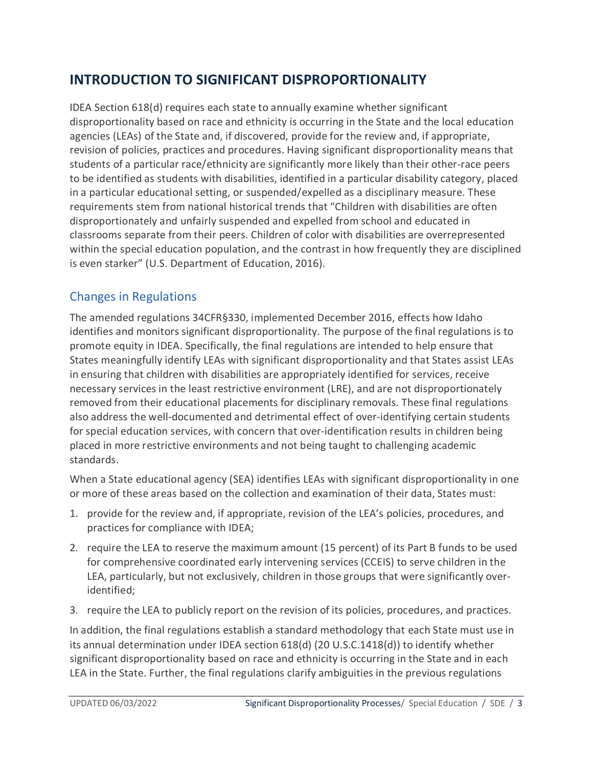# <span id="page-2-0"></span>**INTRODUCTION TO SIGNIFICANT DISPROPORTIONALITY**

IDEA Section 618(d) requires each state to annually examine whether significant disproportionality based on race and ethnicity is occurring in the State and the local education agencies (LEAs) of the State and, if discovered, provide for the review and, if appropriate, revision of policies, practices and procedures. Having significant disproportionality means that students of a particular race/ethnicity are significantly more likely than their other-race peers to be identified as students with disabilities, identified in a particular disability category, placed in a particular educational setting, or suspended/expelled as a disciplinary measure. These requirements stem from national historical trends that "Children with disabilities are often disproportionately and unfairly suspended and expelled from school and educated in classrooms separate from their peers. Children of color with disabilities are overrepresented within the special education population, and the contrast in how frequently they are disciplined is even starker" (U.S. Department of Education, 2016).

## <span id="page-2-1"></span>Changes in Regulations

The amended regulations 34CFR§330, implemented December 2016, effects how Idaho identifies and monitors significant disproportionality. The purpose of the final regulations is to promote equity in IDEA. Specifically, the final regulations are intended to help ensure that States meaningfully identify LEAs with significant disproportionality and that States assist LEAs in ensuring that children with disabilities are appropriately identified for services, receive necessary services in the least restrictive environment (LRE), and are not disproportionately removed from their educational placements for disciplinary removals. These final regulations also address the well-documented and detrimental effect of over-identifying certain students for special education services, with concern that over-identification results in children being placed in more restrictive environments and not being taught to challenging academic standards.

When a State educational agency (SEA) identifies LEAs with significant disproportionality in one or more of these areas based on the collection and examination of their data, States must:

- 1. provide for the review and, if appropriate, revision of the LEA's policies, procedures, and practices for compliance with IDEA;
- 2. require the LEA to reserve the maximum amount (15 percent) of its Part B funds to be used for comprehensive coordinated early intervening services (CCEIS) to serve children in the LEA, particularly, but not exclusively, children in those groups that were significantly overidentified;
- 3. require the LEA to publicly report on the revision of its policies, procedures, and practices.

In addition, the final regulations establish a standard methodology that each State must use in its annual determination under IDEA section 618(d) (20 U.S.C.1418(d)) to identify whether significant disproportionality based on race and ethnicity is occurring in the State and in each LEA in the State. Further, the final regulations clarify ambiguities in the previous regulations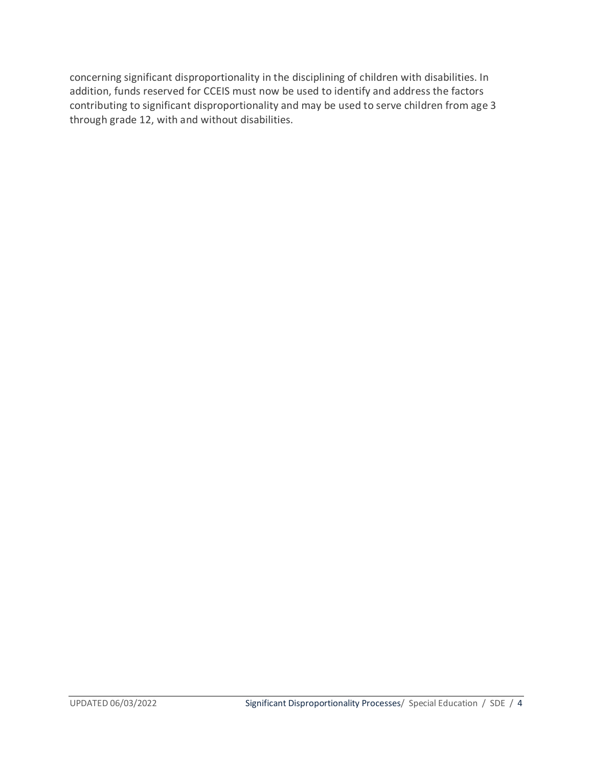concerning significant disproportionality in the disciplining of children with disabilities. In addition, funds reserved for CCEIS must now be used to identify and address the factors contributing to significant disproportionality and may be used to serve children from age 3 through grade 12, with and without disabilities.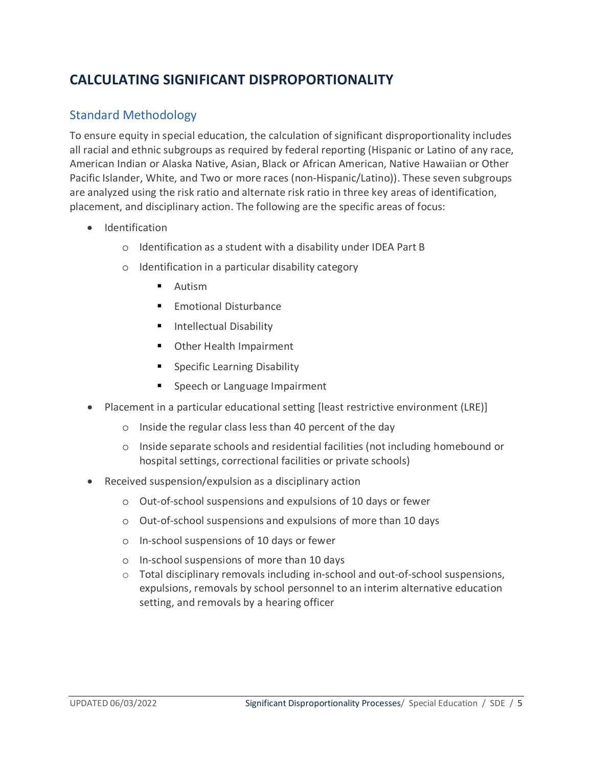# <span id="page-4-0"></span>**CALCULATING SIGNIFICANT DISPROPORTIONALITY**

## <span id="page-4-1"></span>Standard Methodology

To ensure equity in special education, the calculation of significant disproportionality includes all racial and ethnic subgroups as required by federal reporting (Hispanic or Latino of any race, American Indian or Alaska Native, Asian, Black or African American, Native Hawaiian or Other Pacific Islander, White, and Two or more races (non-Hispanic/Latino)). These seven subgroups are analyzed using the risk ratio and alternate risk ratio in three key areas of identification, placement, and disciplinary action. The following are the specific areas of focus:

- Identification
	- o Identification as a student with a disability under IDEA Part B
	- o Identification in a particular disability category
		- **Autism**
		- $\blacksquare$  Emotional Disturbance
		- **Intellectual Disability**
		- Other Health Impairment
		- **Specific Learning Disability**
		- Speech or Language Impairment
- Placement in a particular educational setting [least restrictive environment (LRE)]
	- o Inside the regular class less than 40 percent of the day
	- o Inside separate schools and residential facilities (not including homebound or hospital settings, correctional facilities or private schools)
- Received suspension/expulsion as a disciplinary action
	- o Out-of-school suspensions and expulsions of 10 days or fewer
	- o Out-of-school suspensions and expulsions of more than 10 days
	- o In-school suspensions of 10 days or fewer
	- o In-school suspensions of more than 10 days
	- $\circ$  Total disciplinary removals including in-school and out-of-school suspensions, expulsions, removals by school personnel to an interim alternative education setting, and removals by a hearing officer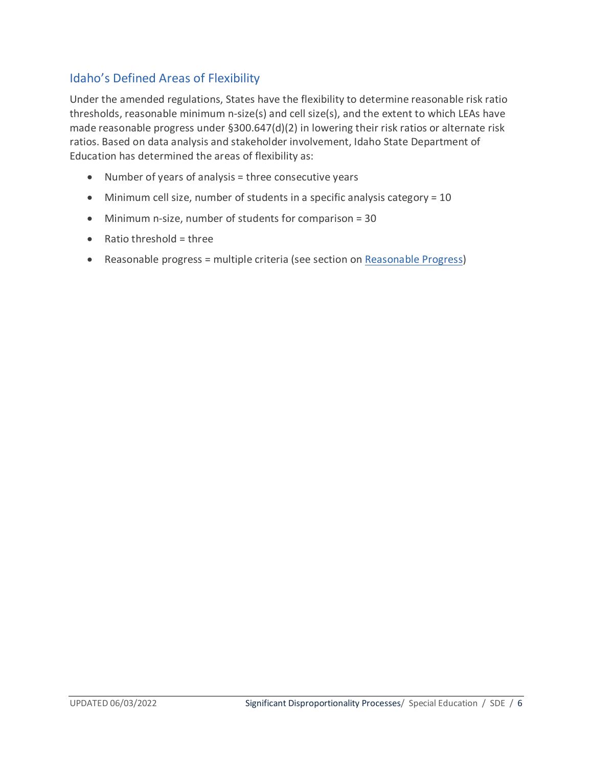## <span id="page-5-0"></span>Idaho's Defined Areas of Flexibility

Under the amended regulations, States have the flexibility to determine reasonable risk ratio thresholds, reasonable minimum n-size(s) and cell size(s), and the extent to which LEAs have made reasonable progress under §300.647(d)(2) in lowering their risk ratios or alternate risk ratios. Based on data analysis and stakeholder involvement, Idaho State Department of Education has determined the areas of flexibility as:

- Number of years of analysis = three consecutive years
- Minimum cell size, number of students in a specific analysis category = 10
- Minimum n-size, number of students for comparison = 30
- $\bullet$  Ratio threshold = three
- Reasonable progress = multiple criteria (see section on [Reasonable Progress\)](#page-9-0)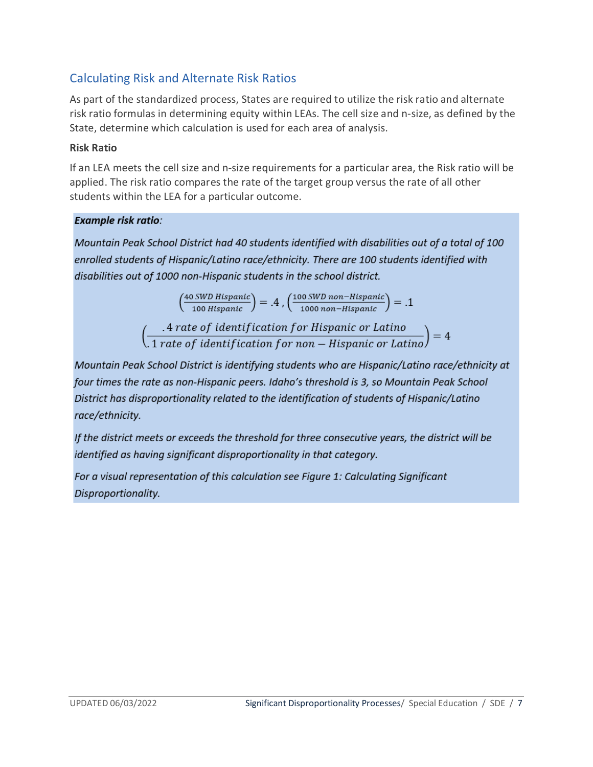## <span id="page-6-0"></span>Calculating Risk and Alternate Risk Ratios

As part of the standardized process, States are required to utilize the risk ratio and alternate risk ratio formulas in determining equity within LEAs. The cell size and n-size, as defined by the State, determine which calculation is used for each area of analysis.

#### <span id="page-6-1"></span>**Risk Ratio**

If an LEA meets the cell size and n-size requirements for a particular area, the Risk ratio will be applied. The risk ratio compares the rate of the target group versus the rate of all other students within the LEA for a particular outcome.

#### **Example risk ratio:**

Mountain Peak School District had 40 students identified with disabilities out of a total of 100 enrolled students of Hispanic/Latino race/ethnicity. There are 100 students identified with disabilities out of 1000 non-Hispanic students in the school district.

$$
\left(\frac{40 \text{ SWD Hispanic}}{100 \text{ Hispanic}}\right) = .4 , \left(\frac{100 \text{ SWD non-Hispanic}}{1000 \text{ non-Hispanic}}\right) = .1
$$

 $\left(\frac{4\ rate\ of\ identification\ for\ Hispanic\ or\ Latino}{1\ rate\ of\ identification\ for\ non-Hispanic\ or\ Latino}\right)=4$ 

Mountain Peak School District is identifying students who are Hispanic/Latino race/ethnicity at four times the rate as non-Hispanic peers. Idaho's threshold is 3, so Mountain Peak School District has disproportionality related to the identification of students of Hispanic/Latino race/ethnicity.

If the district meets or exceeds the threshold for three consecutive years, the district will be identified as having significant disproportionality in that category.

For a visual representation of this calculation see Figure 1: Calculating Significant Disproportionality.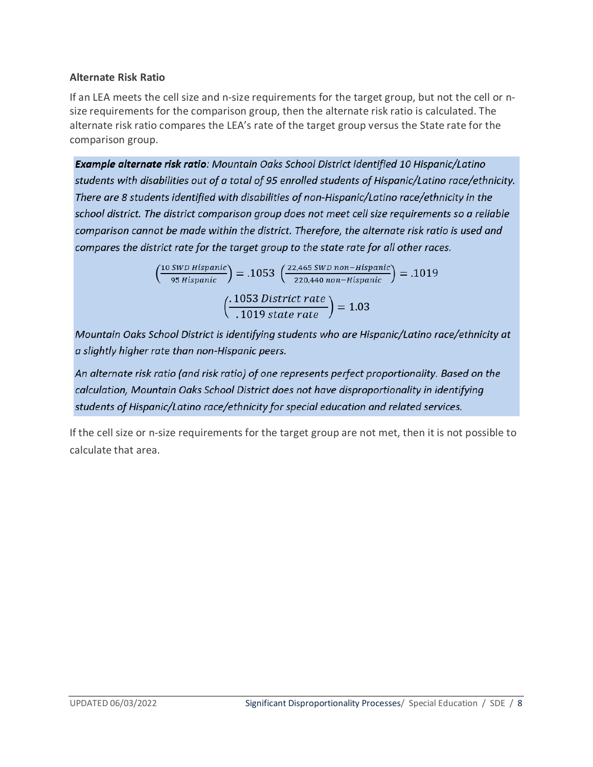#### <span id="page-7-0"></span>**Alternate Risk Ratio**

If an LEA meets the cell size and n-size requirements for the target group, but not the cell or nsize requirements for the comparison group, then the alternate risk ratio is calculated. The alternate risk ratio compares the LEA's rate of the target group versus the State rate for the comparison group.

Example alternate risk ratio: Mountain Oaks School District identified 10 Hispanic/Latino students with disabilities out of a total of 95 enrolled students of Hispanic/Latino race/ethnicity. There are 8 students identified with disabilities of non-Hispanic/Latino race/ethnicity in the school district. The district comparison group does not meet cell size requirements so a reliable comparison cannot be made within the district. Therefore, the alternate risk ratio is used and compares the district rate for the target group to the state rate for all other races.

$$
\left(\frac{10 \text{ } Sub Hispanic}{95 \text{ } Hispanic}\right) = .1053 \left(\frac{22,465 \text{ } Sub non-Hispanic}{220,440 \text{ } non-Hispanic}\right) = .1019
$$
\n
$$
\left(\frac{.1053 \text{ } District \text{ } rate}{.1019 \text{ } state \text{ } rate}\right) = 1.03
$$

Mountain Oaks School District is identifying students who are Hispanic/Latino race/ethnicity at a slightly higher rate than non-Hispanic peers.

An alternate risk ratio (and risk ratio) of one represents perfect proportionality. Based on the calculation, Mountain Oaks School District does not have disproportionality in identifying students of Hispanic/Latino race/ethnicity for special education and related services.

If the cell size or n-size requirements for the target group are not met, then it is not possible to calculate that area.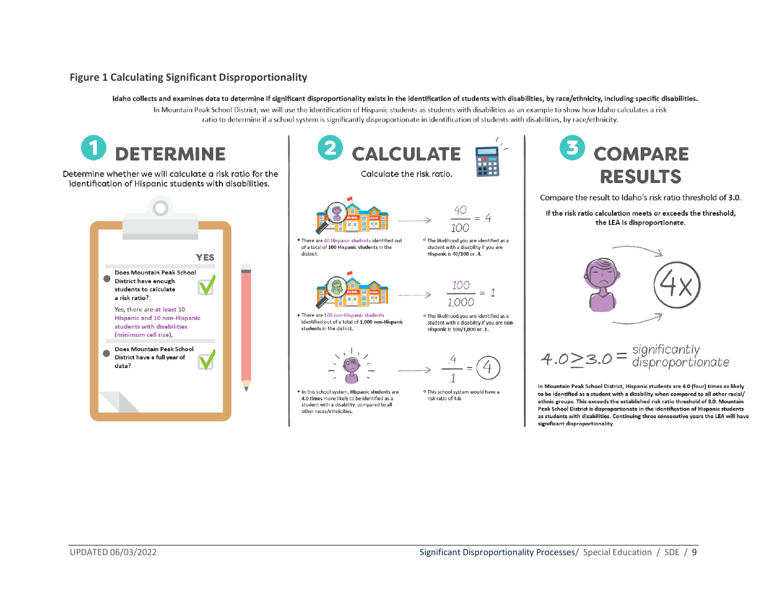#### **Figure 1 Calculating Significant Disproportionality**

Idaho collects and examines data to determine if significant disproportionality exists in the identification of students with disabilities, by race/ethnicity, including specific disabilities. In Mountain Peak School District, we will use the identification of Hispanic students as students with disabilities as an example to show how Idaho calculates a risk ratio to determine if a school system is significantly disproportionate in identification of students with disabilities, by race/ethnicity.

<span id="page-8-0"></span>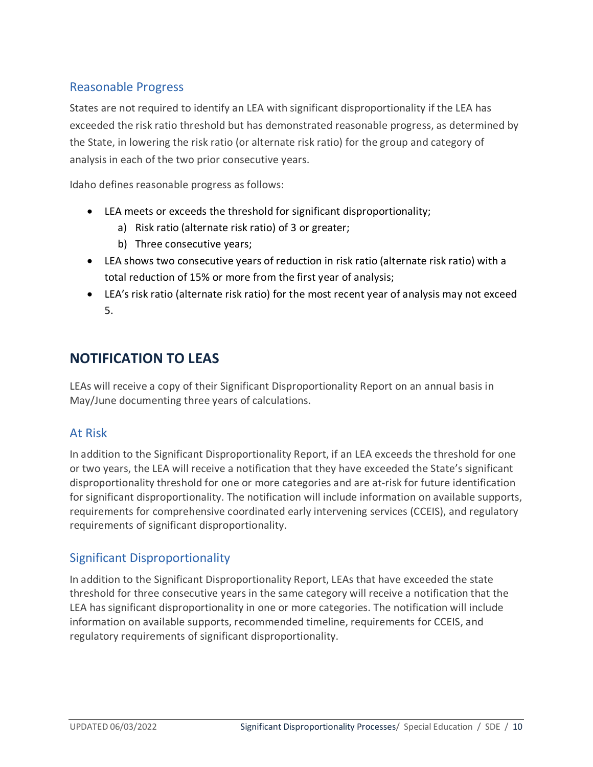## <span id="page-9-0"></span>Reasonable Progress

States are not required to identify an LEA with significant disproportionality if the LEA has exceeded the risk ratio threshold but has demonstrated reasonable progress, as determined by the State, in lowering the risk ratio (or alternate risk ratio) for the group and category of analysis in each of the two prior consecutive years.

Idaho defines reasonable progress as follows:

- LEA meets or exceeds the threshold for significant disproportionality;
	- a) Risk ratio (alternate risk ratio) of 3 or greater;
	- b) Three consecutive years;
- LEA shows two consecutive years of reduction in risk ratio (alternate risk ratio) with a total reduction of 15% or more from the first year of analysis;
- LEA's risk ratio (alternate risk ratio) for the most recent year of analysis may not exceed 5.

## <span id="page-9-1"></span>**NOTIFICATION TO LEAS**

LEAs will receive a copy of their Significant Disproportionality Report on an annual basis in May/June documenting three years of calculations.

## <span id="page-9-2"></span>At Risk

In addition to the Significant Disproportionality Report, if an LEA exceeds the threshold for one or two years, the LEA will receive a notification that they have exceeded the State's significant disproportionality threshold for one or more categories and are at-risk for future identification for significant disproportionality. The notification will include information on available supports, requirements for comprehensive coordinated early intervening services (CCEIS), and regulatory requirements of significant disproportionality.

## <span id="page-9-3"></span>Significant Disproportionality

In addition to the Significant Disproportionality Report, LEAs that have exceeded the state threshold for three consecutive years in the same category will receive a notification that the LEA has significant disproportionality in one or more categories. The notification will include information on available supports, recommended timeline, requirements for CCEIS, and regulatory requirements of significant disproportionality.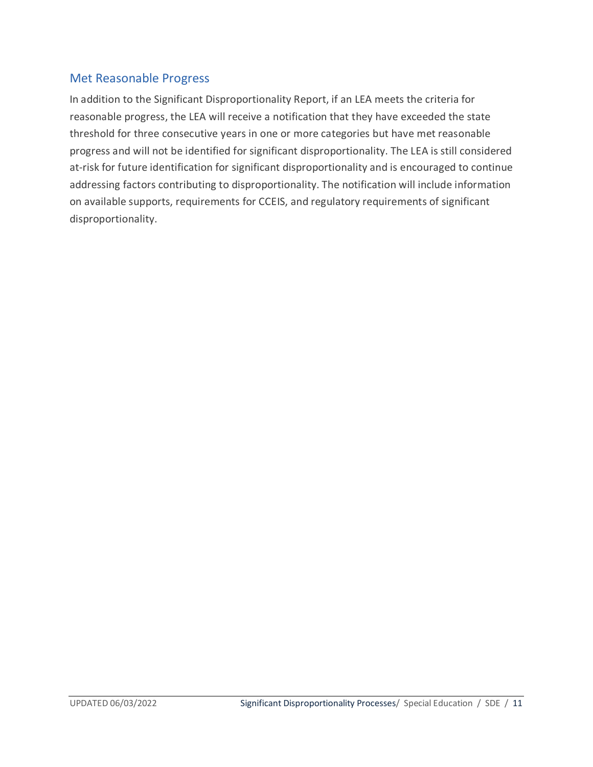## <span id="page-10-0"></span>Met Reasonable Progress

In addition to the Significant Disproportionality Report, if an LEA meets the criteria for reasonable progress, the LEA will receive a notification that they have exceeded the state threshold for three consecutive years in one or more categories but have met reasonable progress and will not be identified for significant disproportionality. The LEA is still considered at-risk for future identification for significant disproportionality and is encouraged to continue addressing factors contributing to disproportionality. The notification will include information on available supports, requirements for CCEIS, and regulatory requirements of significant disproportionality.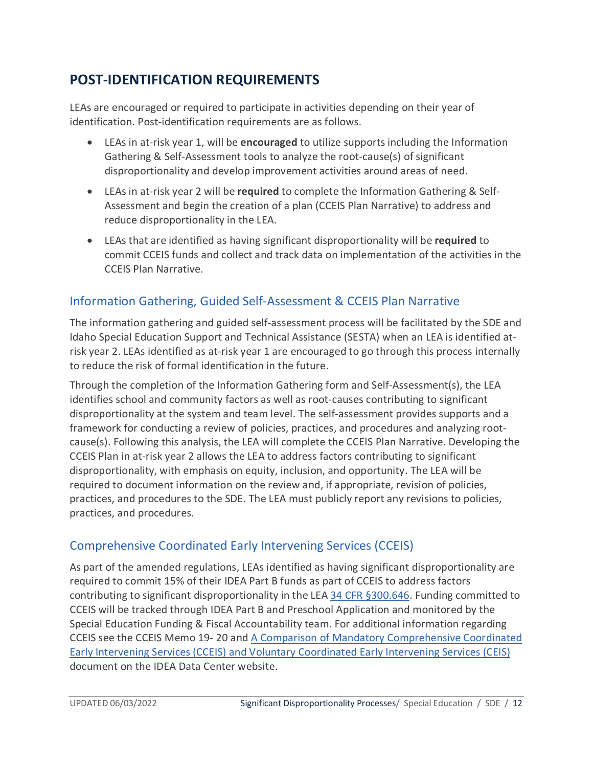# <span id="page-11-0"></span>**POST-IDENTIFICATION REQUIREMENTS**

LEAs are encouraged or required to participate in activities depending on their year of identification. Post-identification requirements are as follows.

- LEAs in at-risk year 1, will be **encouraged** to utilize supports including the Information Gathering & Self-Assessment tools to analyze the root-cause(s) of significant disproportionality and develop improvement activities around areas of need.
- LEAs in at-risk year 2 will be **required** to complete the Information Gathering & Self-Assessment and begin the creation of a plan (CCEIS Plan Narrative) to address and reduce disproportionality in the LEA.
- LEAs that are identified as having significant disproportionality will be **required** to commit CCEIS funds and collect and track data on implementation of the activities in the CCEIS Plan Narrative.

## <span id="page-11-1"></span>Information Gathering, Guided Self-Assessment & CCEIS Plan Narrative

The information gathering and guided self-assessment process will be facilitated by the SDE and Idaho Special Education Support and Technical Assistance (SESTA) when an LEA is identified atrisk year 2. LEAs identified as at-risk year 1 are encouraged to go through this process internally to reduce the risk of formal identification in the future.

Through the completion of the Information Gathering form and Self-Assessment(s), the LEA identifies school and community factors as well as root-causes contributing to significant disproportionality at the system and team level. The self-assessment provides supports and a framework for conducting a review of policies, practices, and procedures and analyzing rootcause(s). Following this analysis, the LEA will complete the CCEIS Plan Narrative. Developing the CCEIS Plan in at-risk year 2 allows the LEA to address factors contributing to significant disproportionality, with emphasis on equity, inclusion, and opportunity. The LEA will be required to document information on the review and, if appropriate, revision of policies, practices, and procedures to the SDE. The LEA must publicly report any revisions to policies, practices, and procedures.

## <span id="page-11-2"></span>Comprehensive Coordinated Early Intervening Services (CCEIS)

As part of the amended regulations, LEAs identified as having significant disproportionality are required to commit 15% of their IDEA Part B funds as part of CCEIS to address factors contributing to significant disproportionality in the LEA [34 CFR §300.646.](https://www.law.cornell.edu/cfr/text/34/300.646) Funding committed to CCEIS will be tracked through IDEA Part B and Preschool Application and monitored by the Special Education Funding & Fiscal Accountability team. For additional information regarding CCEIS see the CCEIS Memo 19- 20 and [A Comparison of Mandatory Comprehensive Coordinated](https://ideadata.org/resources/resource/1580/a-comparison-of-mandatory-comprehensive-coordinated-early-intervening)  [Early Intervening Services \(CCEIS\) and Voluntary Coordinated Early Intervening Services \(CEIS\)](https://ideadata.org/resources/resource/1580/a-comparison-of-mandatory-comprehensive-coordinated-early-intervening) document on the IDEA Data Center website.